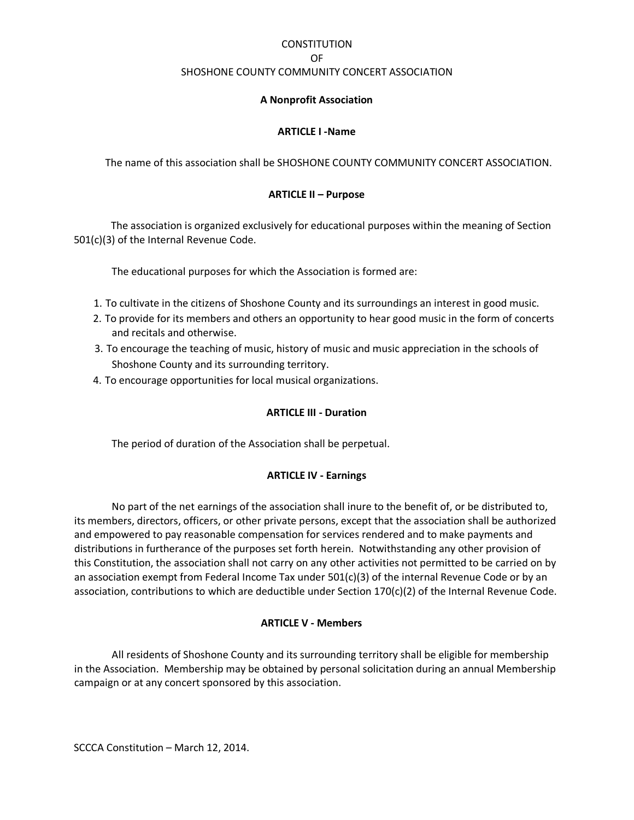# **CONSTITUTION**

**OF OF** 

#### SHOSHONE COUNTY COMMUNITY CONCERT ASSOCIATION

## **A Nonprofit Association**

## **ARTICLE I -Name**

The name of this association shall be SHOSHONE COUNTY COMMUNITY CONCERT ASSOCIATION.

# **ARTICLE II – Purpose**

The association is organized exclusively for educational purposes within the meaning of Section 501(c)(3) of the Internal Revenue Code.

The educational purposes for which the Association is formed are:

- 1. To cultivate in the citizens of Shoshone County and its surroundings an interest in good music.
- 2. To provide for its members and others an opportunity to hear good music in the form of concerts and recitals and otherwise.
- 3. To encourage the teaching of music, history of music and music appreciation in the schools of Shoshone County and its surrounding territory.
- 4. To encourage opportunities for local musical organizations.

## **ARTICLE III - Duration**

The period of duration of the Association shall be perpetual.

# **ARTICLE IV - Earnings**

 No part of the net earnings of the association shall inure to the benefit of, or be distributed to, its members, directors, officers, or other private persons, except that the association shall be authorized and empowered to pay reasonable compensation for services rendered and to make payments and distributions in furtherance of the purposes set forth herein. Notwithstanding any other provision of this Constitution, the association shall not carry on any other activities not permitted to be carried on by an association exempt from Federal Income Tax under  $501(c)(3)$  of the internal Revenue Code or by an association, contributions to which are deductible under Section 170(c)(2) of the Internal Revenue Code.

#### **ARTICLE V - Members**

 All residents of Shoshone County and its surrounding territory shall be eligible for membership in the Association. Membership may be obtained by personal solicitation during an annual Membership campaign or at any concert sponsored by this association.